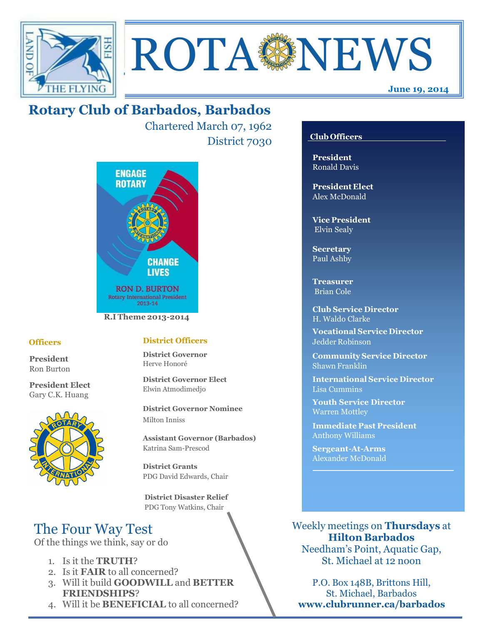



# **Rotary Club of Barbados, Barbados**

Chartered March 07, 1962 District 7030



## **Officers**

**President** Ron Burton

**President Elect** Gary C.K. Huang



## **District Officers**

**District Governor** Herve Honoré

**District Governor Elect** Elwin Atmodimedjo

**District Governor Nominee**  Milton Inniss

**Assistant Governor (Barbados)** Katrina Sam-Prescod

**District Grants**  PDG David Edwards, Chair

 **District Disaster Relief** PDG Tony Watkins, Chair

# The Four Way Test

Of the things we think, say or do

- 1. Is it the **TRUTH**?
- 2. Is it **FAIR** to all concerned?
- 3. Will it build **GOODWILL** and **BETTER FRIENDSHIPS**?
- 4. Will it be **BENEFICIAL** to all concerned?

## **Club Officers**

**President** Ronald Davis

**President Elect** Alex McDonald

**Vice President** Elvin Sealy

**Secretary** Paul Ashby

**Treasurer** Brian Cole

**Club Service Director** H. Waldo Clarke

**Vocational Service Director** Jedder Robinson

**Community Service Director** Shawn Franklin

**International Service Director** Lisa Cummins

**Youth Service Director** Warren Mottley

**Immediate Past President** Anthony Williams

**Sergeant-At-Arms** Alexander McDonald

Weekly meetings on **Thursdays** at **Hilton Barbados** Needham's Point, Aquatic Gap,

St. Michael at 12 noon

P.O. Box 148B, Brittons Hill, St. Michael, Barbados **www.clubrunner.ca/barbados**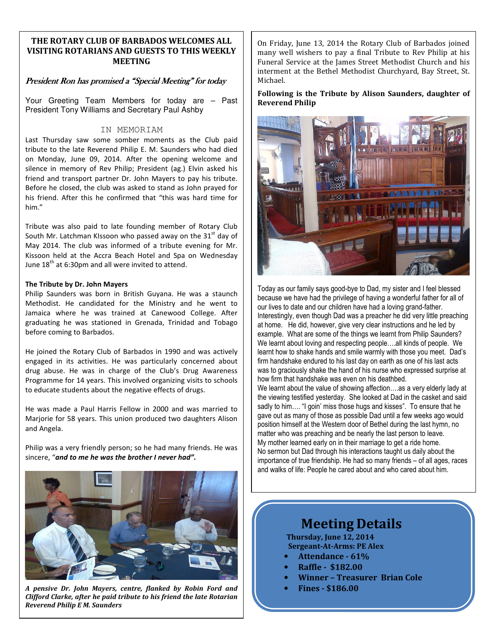### **THE ROTARY CLUB OF BARBADOS WELCOMES ALL VISITING ROTARIANS AND GUESTS TO THIS WEEKLY MEETING**

#### President Ron has promised a "Special Meeting" for today

Your Greeting Team Members for today are – Past President Tony Williams and Secretary Paul Ashby

#### IN MEMORIAM

Last Thursday saw some somber moments as the Club paid tribute to the late Reverend Philip E. M. Saunders who had died on Monday, June 09, 2014. After the opening welcome and silence in memory of Rev Philip; President (ag.) Elvin asked his friend and transport partner Dr. John Mayers to pay his tribute. Before he closed, the club was asked to stand as John prayed for his friend. After this he confirmed that "this was hard time for him."

Tribute was also paid to late founding member of Rotary Club South Mr. Latchman KIssoon who passed away on the 31 $^{\text{st}}$  day of May 2014. The club was informed of a tribute evening for Mr. Kissoon held at the Accra Beach Hotel and Spa on Wednesday June 18<sup>th</sup> at 6:30pm and all were invited to attend.

#### **The Tribute by Dr. John Mayers**

Philip Saunders was born in British Guyana. He was a staunch Methodist. He candidated for the Ministry and he went to Jamaica where he was trained at Canewood College. After graduating he was stationed in Grenada, Trinidad and Tobago before coming to Barbados.

He joined the Rotary Club of Barbados in 1990 and was actively engaged in its activities. He was particularly concerned about drug abuse. He was in charge of the Club's Drug Awareness Programme for 14 years. This involved organizing visits to schools to educate students about the negative effects of drugs.

He was made a Paul Harris Fellow in 2000 and was married to Marjorie for 58 years. This union produced two daughters Alison and Angela.

Philip was a very friendly person; so he had many friends. He was sincere, "*and to me he was the brother I never had".*



*A pensive Dr. John Mayers, centre, flanked by Robin Ford and Clifford Clarke, after he paid tribute to his friend the late Rotarian Reverend Philip E M. Saunders* 

On Friday, June 13, 2014 the Rotary Club of Barbados joined many well wishers to pay a final Tribute to Rev Philip at his Funeral Service at the James Street Methodist Church and his interment at the Bethel Methodist Churchyard, Bay Street, St. Michael.

#### **Following is the Tribute by Alison Saunders, daughter of Reverend Philip**



Today as our family says good-bye to Dad, my sister and I feel blessed because we have had the privilege of having a wonderful father for all of our lives to date and our children have had a loving grand-father. Interestingly, even though Dad was a preacher he did very little preaching at home. He did, however, give very clear instructions and he led by example. What are some of the things we learnt from Philip Saunders? We learnt about loving and respecting people….all kinds of people. We learnt how to shake hands and smile warmly with those you meet. Dad's firm handshake endured to his last day on earth as one of his last acts was to graciously shake the hand of his nurse who expressed surprise at how firm that handshake was even on his deathbed. We learnt about the value of showing affection….as a very elderly lady at

the viewing testified yesterday. She looked at Dad in the casket and said sadly to him…. "I goin' miss those hugs and kisses". To ensure that he gave out as many of those as possible Dad until a few weeks ago would position himself at the Western door of Bethel during the last hymn, no matter who was preaching and be nearly the last person to leave. My mother learned early on in their marriage to get a ride home. No sermon but Dad through his interactions taught us daily about the importance of true friendship. He had so many friends – of all ages, races and walks of life: People he cared about and who cared about him.

# **Meeting Details**

**Thursday, June 12, 2014 Sergeant-At-Arms: PE Alex** 

- **Attendance 61%**
- **Raffle \$182.00**
- **Winner Treasurer Brian Cole**
- **Fines \$186.00**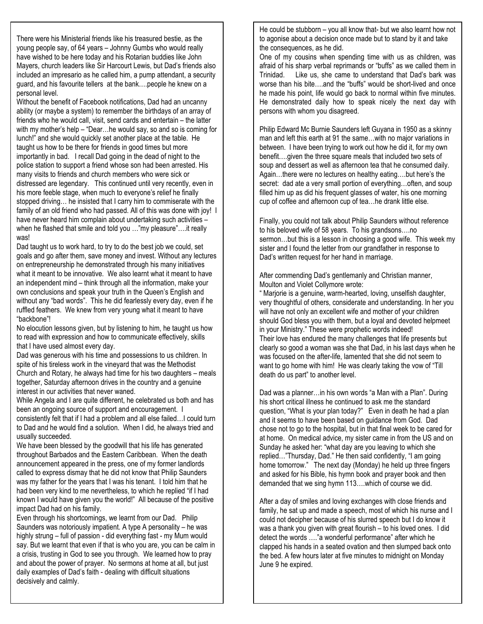There were his Ministerial friends like his treasured bestie, as the young people say, of 64 years – Johnny Gumbs who would really have wished to be here today and his Rotarian buddies like John Mayers, church leaders like Sir Harcourt Lewis, but Dad's friends also included an impresario as he called him, a pump attendant, a security guard, and his favourite tellers at the bank….people he knew on a personal level.

Without the benefit of Facebook notifications, Dad had an uncanny ability (or maybe a system) to remember the birthdays of an array of friends who he would call, visit, send cards and entertain – the latter with my mother's help – "Dear…he would say, so and so is coming for lunch!" and she would quickly set another place at the table. He taught us how to be there for friends in good times but more importantly in bad. I recall Dad going in the dead of night to the police station to support a friend whose son had been arrested. His many visits to friends and church members who were sick or distressed are legendary. This continued until very recently, even in his more feeble stage, when much to everyone's relief he finally stopped driving… he insisted that I carry him to commiserate with the family of an old friend who had passed. All of this was done with joy! I have never heard him complain about undertaking such activities – when he flashed that smile and told you …"my pleasure"….it really was!

Dad taught us to work hard, to try to do the best job we could, set goals and go after them, save money and invest. Without any lectures on entrepreneurship he demonstrated through his many initiatives what it meant to be innovative. We also learnt what it meant to have an independent mind – think through all the information, make your own conclusions and speak your truth in the Queen's English and without any "bad words". This he did fearlessly every day, even if he ruffled feathers. We knew from very young what it meant to have "backbone"!

No elocution lessons given, but by listening to him, he taught us how to read with expression and how to communicate effectively, skills that I have used almost every day.

Dad was generous with his time and possessions to us children. In spite of his tireless work in the vineyard that was the Methodist Church and Rotary, he always had time for his two daughters – meals together, Saturday afternoon drives in the country and a genuine interest in our activities that never waned.

While Angela and I are quite different, he celebrated us both and has been an ongoing source of support and encouragement. I

consistently felt that if I had a problem and all else failed…I could turn to Dad and he would find a solution. When I did, he always tried and usually succeeded.

We have been blessed by the goodwill that his life has generated throughout Barbados and the Eastern Caribbean. When the death announcement appeared in the press, one of my former landlords called to express dismay that he did not know that Philip Saunders was my father for the years that I was his tenant. I told him that he had been very kind to me nevertheless, to which he replied "if I had known I would have given you the world!" All because of the positive impact Dad had on his family.

Even through his shortcomings, we learnt from our Dad. Philip Saunders was notoriously impatient. A type A personality – he was highly strung – full of passion - did everything fast - my Mum would say. But we learnt that even if that is who you are, you can be calm in a crisis, trusting in God to see you through. We learned how to pray and about the power of prayer. No sermons at home at all, but just daily examples of Dad's faith - dealing with difficult situations decisively and calmly.

He could be stubborn – you all know that- but we also learnt how not to agonise about a decision once made but to stand by it and take the consequences, as he did.

One of my cousins when spending time with us as children, was afraid of his sharp verbal reprimands or "buffs" as we called them in Trinidad. Like us, she came to understand that Dad's bark was worse than his bite….and the "buffs" would be short-lived and once he made his point, life would go back to normal within five minutes. He demonstrated daily how to speak nicely the next day with persons with whom you disagreed.

Philip Edward Mc Burnie Saunders left Guyana in 1950 as a skinny man and left this earth at 91 the same…with no major variations in between. I have been trying to work out how he did it, for my own benefit….given the three square meals that included two sets of soup and dessert as well as afternoon tea that he consumed daily. Again…there were no lectures on healthy eating….but here's the secret: dad ate a very small portion of everything…often, and soup filled him up as did his frequent glasses of water, his one morning cup of coffee and afternoon cup of tea…he drank little else.

Finally, you could not talk about Philip Saunders without reference to his beloved wife of 58 years. To his grandsons….no sermon…but this is a lesson in choosing a good wife. This week my sister and I found the letter from our grandfather in response to Dad's written request for her hand in marriage.

After commending Dad's gentlemanly and Christian manner, Moulton and Violet Collymore wrote:

" Marjorie is a genuine, warm-hearted, loving, unselfish daughter, very thoughtful of others, considerate and understanding. In her you will have not only an excellent wife and mother of your children should God bless you with them, but a loyal and devoted helpmeet in your Ministry." These were prophetic words indeed! Their love has endured the many challenges that life presents but clearly so good a woman was she that Dad, in his last days when he was focused on the after-life, lamented that she did not seem to want to go home with him! He was clearly taking the vow of "Till death do us part" to another level.

Dad was a planner…in his own words "a Man with a Plan". During his short critical illness he continued to ask me the standard question, "What is your plan today?" Even in death he had a plan and it seems to have been based on guidance from God. Dad chose not to go to the hospital, but in that final week to be cared for at home. On medical advice, my sister came in from the US and on Sunday he asked her: "what day are you leaving to which she replied…"Thursday, Dad." He then said confidently, "I am going home tomorrow." The next day (Monday) he held up three fingers and asked for his Bible, his hymn book and prayer book and then demanded that we sing hymn 113….which of course we did.

After a day of smiles and loving exchanges with close friends and family, he sat up and made a speech, most of which his nurse and I could not decipher because of his slurred speech but I do know it was a thank you given with great flourish – to his loved ones. I did detect the words …."a wonderful performance" after which he clapped his hands in a seated ovation and then slumped back onto the bed. A few hours later at five minutes to midnight on Monday June 9 he expired.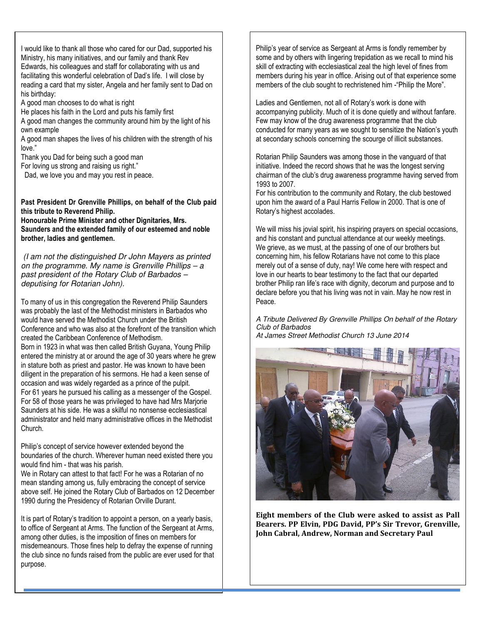I would like to thank all those who cared for our Dad, supported his Ministry, his many initiatives, and our family and thank Rev Edwards, his colleagues and staff for collaborating with us and facilitating this wonderful celebration of Dad's life. I will close by reading a card that my sister, Angela and her family sent to Dad on his birthday:

A good man chooses to do what is right

He places his faith in the Lord and puts his family first

A good man changes the community around him by the light of his own example

A good man shapes the lives of his children with the strength of his love."

Thank you Dad for being such a good man

For loving us strong and raising us right."

Dad, we love you and may you rest in peace.

**Past President Dr Grenville Phillips, on behalf of the Club paid this tribute to Reverend Philip.** 

**Honourable Prime Minister and other Dignitaries, Mrs. Saunders and the extended family of our esteemed and noble brother, ladies and gentlemen.** 

 (I am not the distinguished Dr John Mayers as printed on the programme. My name is Grenville Phillips – a past president of the Rotary Club of Barbados – deputising for Rotarian John).

To many of us in this congregation the Reverend Philip Saunders was probably the last of the Methodist ministers in Barbados who would have served the Methodist Church under the British Conference and who was also at the forefront of the transition which created the Caribbean Conference of Methodism.

**GREETERS** Born in 1923 in what was then called British Guyana, Young Philip entered the ministry at or around the age of 30 years where he grew in stature both as priest and pastor. He was known to have been diligent in the preparation of his sermons. He had a keen sense of occasion and was widely regarded as a prince of the pulpit. For 61 years he pursued his calling as a messenger of the Gospel. For 58 of those years he was privileged to have had Mrs Marjorie Saunders at his side. He was a skilful no nonsense ecclesiastical administrator and held many administrative offices in the Methodist Church.

Philip's concept of service however extended beyond the boundaries of the church. Wherever human need existed there you would find him - that was his parish.

We in Rotary can attest to that fact! For he was a Rotarian of no mean standing among us, fully embracing the concept of service above self. He joined the Rotary Club of Barbados on 12 December 1990 during the Presidency of Rotarian Orville Durant.

It is part of Rotary's tradition to appoint a person, on a yearly basis, to office of Sergeant at Arms. The function of the Sergeant at Arms, among other duties, is the imposition of fines on members for misdemeanours. Those fines help to defray the expense of running the club since no funds raised from the public are ever used for that purpose.

Philip's year of service as Sergeant at Arms is fondly remember by some and by others with lingering trepidation as we recall to mind his skill of extracting with ecclesiastical zeal the high level of fines from members during his year in office. Arising out of that experience some members of the club sought to rechristened him -"Philip the More".

Ladies and Gentlemen, not all of Rotary's work is done with accompanying publicity. Much of it is done quietly and without fanfare. Few may know of the drug awareness programme that the club conducted for many years as we sought to sensitize the Nation's youth at secondary schools concerning the scourge of illicit substances.

Rotarian Philip Saunders was among those in the vanguard of that initiative. Indeed the record shows that he was the longest serving chairman of the club's drug awareness programme having served from 1993 to 2007.

For his contribution to the community and Rotary, the club bestowed upon him the award of a Paul Harris Fellow in 2000. That is one of Rotary's highest accolades.

We will miss his jovial spirit, his inspiring prayers on special occasions, and his constant and punctual attendance at our weekly meetings. We grieve, as we must, at the passing of one of our brothers but concerning him, his fellow Rotarians have not come to this place merely out of a sense of duty, nay! We come here with respect and love in our hearts to bear testimony to the fact that our departed brother Philip ran life's race with dignity, decorum and purpose and to declare before you that his living was not in vain. May he now rest in Peace.

A Tribute Delivered By Grenville Phillips On behalf of the Rotary Club of Barbados At James Street Methodist Church 13 June 2014



**Eight members of the Club were asked to assist as Pall Bearers. PP Elvin, PDG David, PP's Sir Trevor, Grenville, John Cabral, Andrew, Norman and Secretary Paul**